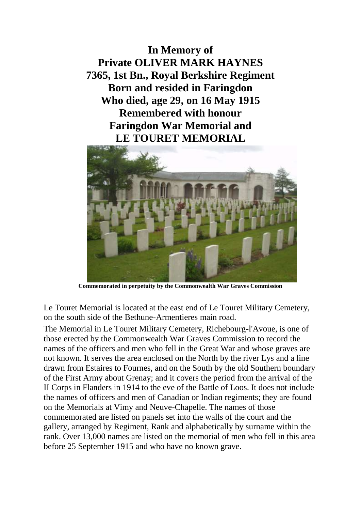**In Memory of Private OLIVER MARK HAYNES 7365, 1st Bn., Royal Berkshire Regiment Born and resided in Faringdon Who died, age 29, on 16 May 1915 Remembered with honour Faringdon War Memorial and LE TOURET MEMORIAL**



**Commemorated in perpetuity by the Commonwealth War Graves Commission**

Le Touret Memorial is located at the east end of Le Touret Military Cemetery, on the south side of the Bethune-Armentieres main road.

The Memorial in Le Touret Military Cemetery, Richebourg-l'Avoue, is one of those erected by the Commonwealth War Graves Commission to record the names of the officers and men who fell in the Great War and whose graves are not known. It serves the area enclosed on the North by the river Lys and a line drawn from Estaires to Fournes, and on the South by the old Southern boundary of the First Army about Grenay; and it covers the period from the arrival of the II Corps in Flanders in 1914 to the eve of the Battle of Loos. It does not include the names of officers and men of Canadian or Indian regiments; they are found on the Memorials at Vimy and Neuve-Chapelle. The names of those commemorated are listed on panels set into the walls of the court and the gallery, arranged by Regiment, Rank and alphabetically by surname within the rank. Over 13,000 names are listed on the memorial of men who fell in this area before 25 September 1915 and who have no known grave.